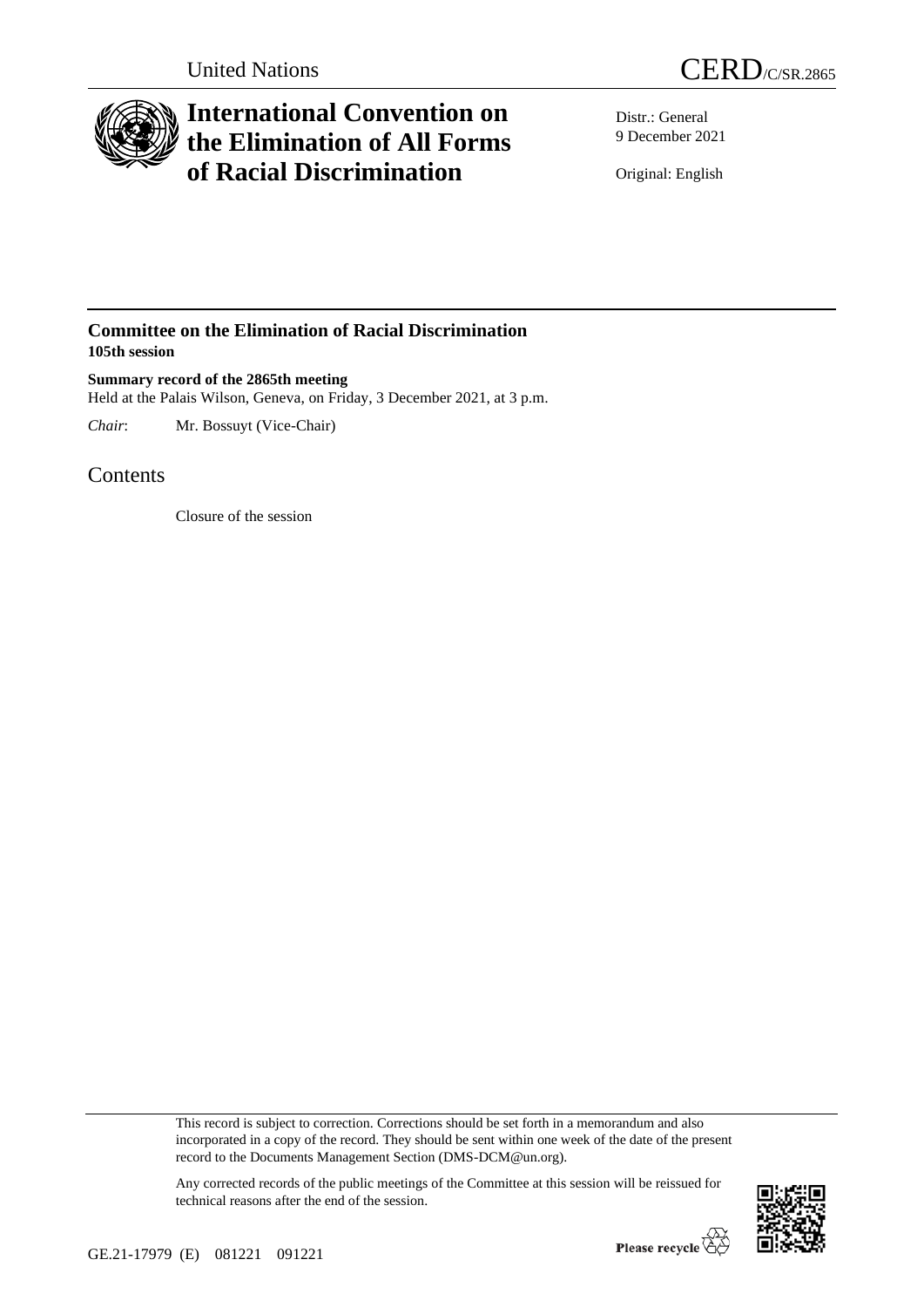



## **International Convention on the Elimination of All Forms of Racial Discrimination**

Distr.: General 9 December 2021

Original: English

## **Committee on the Elimination of Racial Discrimination 105th session**

**Summary record of the 2865th meeting** Held at the Palais Wilson, Geneva, on Friday, 3 December 2021, at 3 p.m.

*Chair*: Mr. Bossuyt (Vice-Chair)

Contents

Closure of the session

This record is subject to correction. Corrections should be set forth in a memorandum and also incorporated in a copy of the record. They should be sent within one week of the date of the present record to the Documents Management Section (DMS-DCM@un.org).



Any corrected records of the public meetings of the Committee at this session will be reissued for technical reasons after the end of the session.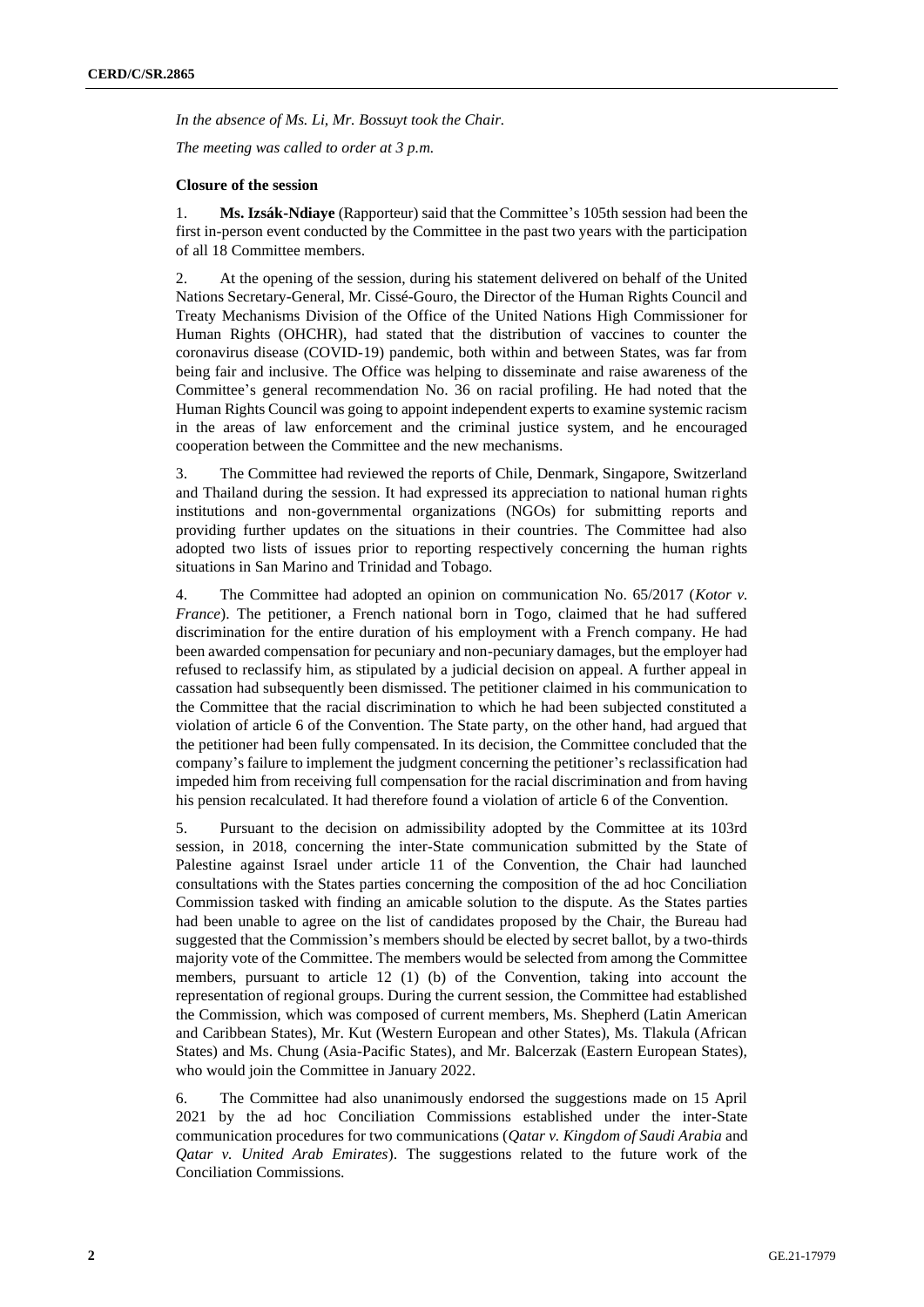*In the absence of Ms. Li, Mr. Bossuyt took the Chair.*

*The meeting was called to order at 3 p.m.*

## **Closure of the session**

1. **Ms. Izsák-Ndiaye** (Rapporteur) said that the Committee's 105th session had been the first in-person event conducted by the Committee in the past two years with the participation of all 18 Committee members.

2. At the opening of the session, during his statement delivered on behalf of the United Nations Secretary-General, Mr. Cissé-Gouro, the Director of the Human Rights Council and Treaty Mechanisms Division of the Office of the United Nations High Commissioner for Human Rights (OHCHR), had stated that the distribution of vaccines to counter the coronavirus disease (COVID-19) pandemic, both within and between States, was far from being fair and inclusive. The Office was helping to disseminate and raise awareness of the Committee's general recommendation No. 36 on racial profiling. He had noted that the Human Rights Council was going to appoint independent experts to examine systemic racism in the areas of law enforcement and the criminal justice system, and he encouraged cooperation between the Committee and the new mechanisms.

3. The Committee had reviewed the reports of Chile, Denmark, Singapore, Switzerland and Thailand during the session. It had expressed its appreciation to national human rights institutions and non-governmental organizations (NGOs) for submitting reports and providing further updates on the situations in their countries. The Committee had also adopted two lists of issues prior to reporting respectively concerning the human rights situations in San Marino and Trinidad and Tobago.

4. The Committee had adopted an opinion on communication No. 65/2017 (*Kotor v. France*). The petitioner, a French national born in Togo, claimed that he had suffered discrimination for the entire duration of his employment with a French company. He had been awarded compensation for pecuniary and non-pecuniary damages, but the employer had refused to reclassify him, as stipulated by a judicial decision on appeal. A further appeal in cassation had subsequently been dismissed. The petitioner claimed in his communication to the Committee that the racial discrimination to which he had been subjected constituted a violation of article 6 of the Convention. The State party, on the other hand, had argued that the petitioner had been fully compensated. In its decision, the Committee concluded that the company's failure to implement the judgment concerning the petitioner's reclassification had impeded him from receiving full compensation for the racial discrimination and from having his pension recalculated. It had therefore found a violation of article 6 of the Convention.

5. Pursuant to the decision on admissibility adopted by the Committee at its 103rd session, in 2018, concerning the inter-State communication submitted by the State of Palestine against Israel under article 11 of the Convention, the Chair had launched consultations with the States parties concerning the composition of the ad hoc Conciliation Commission tasked with finding an amicable solution to the dispute. As the States parties had been unable to agree on the list of candidates proposed by the Chair, the Bureau had suggested that the Commission's members should be elected by secret ballot, by a two-thirds majority vote of the Committee. The members would be selected from among the Committee members, pursuant to article 12 (1) (b) of the Convention, taking into account the representation of regional groups. During the current session, the Committee had established the Commission, which was composed of current members, Ms. Shepherd (Latin American and Caribbean States), Mr. Kut (Western European and other States), Ms. Tlakula (African States) and Ms. Chung (Asia-Pacific States), and Mr. Balcerzak (Eastern European States), who would join the Committee in January 2022.

6. The Committee had also unanimously endorsed the suggestions made on 15 April 2021 by the ad hoc Conciliation Commissions established under the inter-State communication procedures for two communications (*Qatar v. Kingdom of Saudi Arabia* and *Qatar v. United Arab Emirates*). The suggestions related to the future work of the Conciliation Commissions.